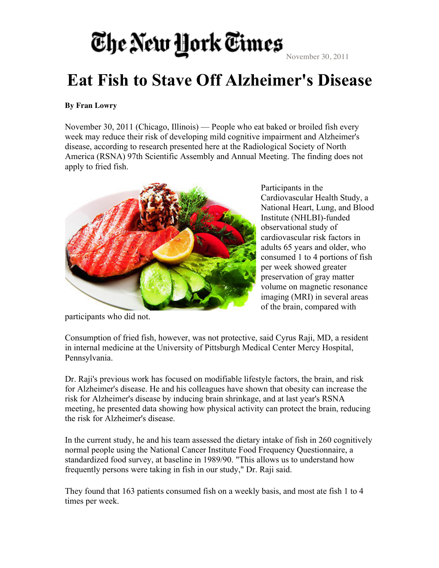### The New York Times

November 30, 2011

### **Eat Fish to Stave Off Alzheimer's Disease**

#### **By Fran Lowry**

November 30, 2011 (Chicago, Illinois) — People who eat baked or broiled fish every week may reduce their risk of developing mild cognitive impairment and Alzheimer's disease, according to research presented here at the Radiological Society of North America (RSNA) 97th Scientific Assembly and Annual Meeting. The finding does not apply to fried fish.



Participants in the Cardiovascular Health Study, a National Heart, Lung, and Blood Institute (NHLBI)-funded observational study of cardiovascular risk factors in adults 65 years and older, who consumed 1 to 4 portions of fish per week showed greater preservation of gray matter volume on magnetic resonance imaging (MRI) in several areas of the brain, compared with

participants who did not.

Consumption of fried fish, however, was not protective, said Cyrus Raji, MD, a resident in internal medicine at the University of Pittsburgh Medical Center Mercy Hospital, Pennsylvania.

Dr. Raji's previous work has focused on modifiable lifestyle factors, the brain, and risk for Alzheimer's disease. He and his colleagues have shown that obesity can increase the risk for Alzheimer's disease by inducing brain shrinkage, and at last year's RSNA meeting, he presented data showing how physical activity can protect the brain, reducing the risk for Alzheimer's disease.

In the current study, he and his team assessed the dietary intake of fish in 260 cognitively normal people using the National Cancer Institute Food Frequency Questionnaire, a standardized food survey, at baseline in 1989/90. "This allows us to understand how frequently persons were taking in fish in our study," Dr. Raji said.

They found that 163 patients consumed fish on a weekly basis, and most ate fish 1 to 4 times per week.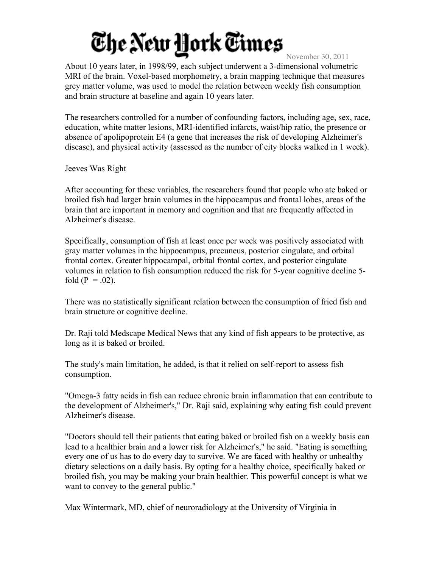# The New Hork Times

November 30, 2011

About 10 years later, in 1998/99, each subject underwent a 3-dimensional volumetric MRI of the brain. Voxel-based morphometry, a brain mapping technique that measures grey matter volume, was used to model the relation between weekly fish consumption and brain structure at baseline and again 10 years later.

The researchers controlled for a number of confounding factors, including age, sex, race, education, white matter lesions, MRI-identified infarcts, waist/hip ratio, the presence or absence of apolipoprotein E4 (a gene that increases the risk of developing Alzheimer's disease), and physical activity (assessed as the number of city blocks walked in 1 week).

Jeeves Was Right

After accounting for these variables, the researchers found that people who ate baked or broiled fish had larger brain volumes in the hippocampus and frontal lobes, areas of the brain that are important in memory and cognition and that are frequently affected in Alzheimer's disease.

Specifically, consumption of fish at least once per week was positively associated with gray matter volumes in the hippocampus, precuneus, posterior cingulate, and orbital frontal cortex. Greater hippocampal, orbital frontal cortex, and posterior cingulate volumes in relation to fish consumption reduced the risk for 5-year cognitive decline 5 fold ( $P = .02$ ).

There was no statistically significant relation between the consumption of fried fish and brain structure or cognitive decline.

Dr. Raji told Medscape Medical News that any kind of fish appears to be protective, as long as it is baked or broiled.

The study's main limitation, he added, is that it relied on self-report to assess fish consumption.

"Omega-3 fatty acids in fish can reduce chronic brain inflammation that can contribute to the development of Alzheimer's," Dr. Raji said, explaining why eating fish could prevent Alzheimer's disease.

"Doctors should tell their patients that eating baked or broiled fish on a weekly basis can lead to a healthier brain and a lower risk for Alzheimer's," he said. "Eating is something every one of us has to do every day to survive. We are faced with healthy or unhealthy dietary selections on a daily basis. By opting for a healthy choice, specifically baked or broiled fish, you may be making your brain healthier. This powerful concept is what we want to convey to the general public."

Max Wintermark, MD, chief of neuroradiology at the University of Virginia in